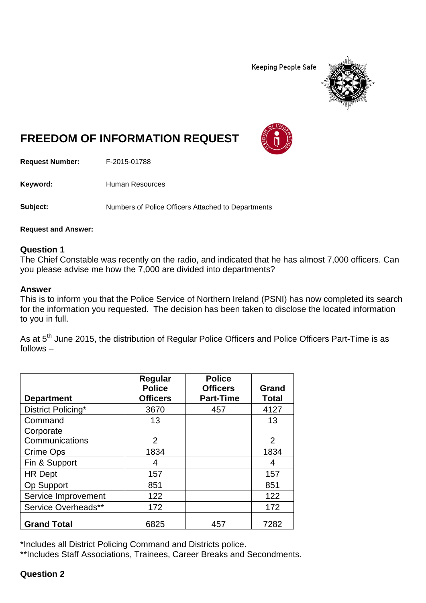**Keeping People Safe** 



# **FREEDOM OF INFORMATION REQUEST**

**Request Number:** F-2015-01788

Keyword: Human Resources

**Subject:** Numbers of Police Officers Attached to Departments

**Request and Answer:**

## **Question 1**

The Chief Constable was recently on the radio, and indicated that he has almost 7,000 officers. Can you please advise me how the 7,000 are divided into departments?

#### **Answer**

This is to inform you that the Police Service of Northern Ireland (PSNI) has now completed its search for the information you requested. The decision has been taken to disclose the located information to you in full.

As at 5<sup>th</sup> June 2015, the distribution of Regular Police Officers and Police Officers Part-Time is as follows –

|                     | Regular<br><b>Police</b> | <b>Police</b><br><b>Officers</b> | <b>Grand</b> |
|---------------------|--------------------------|----------------------------------|--------------|
| <b>Department</b>   | <b>Officers</b>          | <b>Part-Time</b>                 | <b>Total</b> |
| District Policing*  | 3670                     | 457                              | 4127         |
| Command             | 13                       |                                  | 13           |
| Corporate           |                          |                                  |              |
| Communications      | 2                        |                                  | 2            |
| Crime Ops           | 1834                     |                                  | 1834         |
| Fin & Support       | 4                        |                                  | 4            |
| <b>HR</b> Dept      | 157                      |                                  | 157          |
| Op Support          | 851                      |                                  | 851          |
| Service Improvement | 122                      |                                  | 122          |
| Service Overheads** | 172                      |                                  | 172          |
| <b>Grand Total</b>  | 6825                     | 457                              | 7282         |

\*Includes all District Policing Command and Districts police.

\*\*Includes Staff Associations, Trainees, Career Breaks and Secondments.

**Question 2**